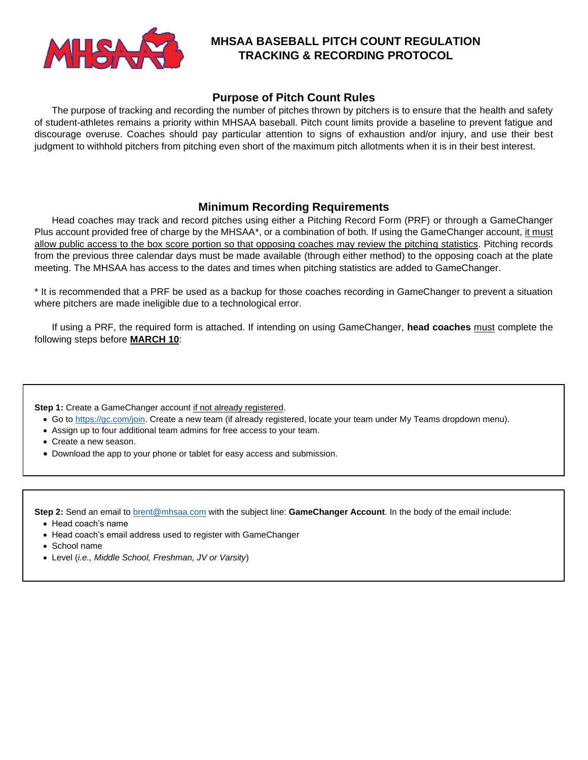

# **MHSAA BASEBALL PITCH COUNT REGULATION TRACKING & RECORDING PROTOCOL**

## **Purpose of Pitch Count Rules**

The purpose of tracking and recording the number of pitches thrown by pitchers is to ensure that the health and safety of student-athletes remains a priority within MHSAA baseball. Pitch count limits provide a baseline to prevent fatigue and discourage overuse. Coaches should pay particular attention to signs of exhaustion and/or injury, and use their best judgment to withhold pitchers from pitching even short of the maximum pitch allotments when it is in their best interest.

## **Minimum Recording Requirements**

Head coaches may track and record pitches using either a Pitching Record Form (PRF) or through a GameChanger Plus account provided free of charge by the MHSAA\*, or a combination of both. If using the GameChanger account, it must allow public access to the box score portion so that opposing coaches may review the pitching statistics. Pitching records from the previous three calendar days must be made available (through either method) to the opposing coach at the plate meeting. The MHSAA has access to the dates and times when pitching statistics are added to GameChanger.

\* It is recommended that a PRF be used as a backup for those coaches recording in GameChanger to prevent a situation where pitchers are made ineligible due to a technological error.

If using a PRF, the required form is attached. If intending on using GameChanger, **head coaches** must complete the following steps before **MARCH 10**:

**Step 1:** Create a GameChanger account if not already registered.

- Go t[o https://gc.com/join.](https://gc.com/join) Create a new team (if already registered, locate your team under My Teams dropdown menu).
- Assign up to four additional team admins for free access to your team.
- Create a new season.
- Download the app to your phone or tablet for easy access and submission.

**Step 2:** Send an email t[o brent@mhsaa.com](mailto:brent@mhsaa.com) with the subject line: **GameChanger Account**. In the body of the email include:

- Head coach's name
- Head coach's email address used to register with GameChanger
- School name
- Level (*i.e., Middle School, Freshman, JV or Varsity*)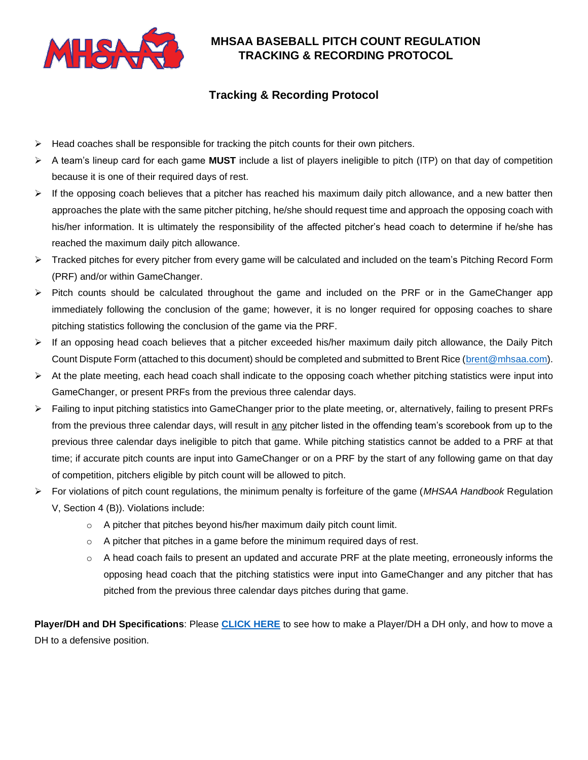

# **MHSAA BASEBALL PITCH COUNT REGULATION TRACKING & RECORDING PROTOCOL**

# **Tracking & Recording Protocol**

- $\triangleright$  Head coaches shall be responsible for tracking the pitch counts for their own pitchers.
- ➢ A team's lineup card for each game **MUST** include a list of players ineligible to pitch (ITP) on that day of competition because it is one of their required days of rest.
- $\triangleright$  If the opposing coach believes that a pitcher has reached his maximum daily pitch allowance, and a new batter then approaches the plate with the same pitcher pitching, he/she should request time and approach the opposing coach with his/her information. It is ultimately the responsibility of the affected pitcher's head coach to determine if he/she has reached the maximum daily pitch allowance.
- ➢ Tracked pitches for every pitcher from every game will be calculated and included on the team's Pitching Record Form (PRF) and/or within GameChanger.
- ➢ Pitch counts should be calculated throughout the game and included on the PRF or in the GameChanger app immediately following the conclusion of the game; however, it is no longer required for opposing coaches to share pitching statistics following the conclusion of the game via the PRF.
- ➢ If an opposing head coach believes that a pitcher exceeded his/her maximum daily pitch allowance, the Daily Pitch Count Dispute Form (attached to this document) should be completed and submitted to Brent Rice [\(brent@mhsaa.com\)](mailto:brent@mhsaa.com).
- $\triangleright$  At the plate meeting, each head coach shall indicate to the opposing coach whether pitching statistics were input into GameChanger, or present PRFs from the previous three calendar days.
- ➢ Failing to input pitching statistics into GameChanger prior to the plate meeting, or, alternatively, failing to present PRFs from the previous three calendar days, will result in any pitcher listed in the offending team's scorebook from up to the previous three calendar days ineligible to pitch that game. While pitching statistics cannot be added to a PRF at that time; if accurate pitch counts are input into GameChanger or on a PRF by the start of any following game on that day of competition, pitchers eligible by pitch count will be allowed to pitch.
- ➢ For violations of pitch count regulations, the minimum penalty is forfeiture of the game (*MHSAA Handbook* Regulation V, Section 4 (B)). Violations include:
	- o A pitcher that pitches beyond his/her maximum daily pitch count limit.
	- $\circ$  A pitcher that pitches in a game before the minimum required days of rest.
	- o A head coach fails to present an updated and accurate PRF at the plate meeting, erroneously informs the opposing head coach that the pitching statistics were input into GameChanger and any pitcher that has pitched from the previous three calendar days pitches during that game.

**Player/DH and DH Specifications**: Please **[CLICK HERE](https://gamechanger.zendesk.com/hc/en-us/articles/213569623-Setting-and-Removing-Designated-Hitter-)** to see how to make a Player/DH a DH only, and how to move a DH to a defensive position.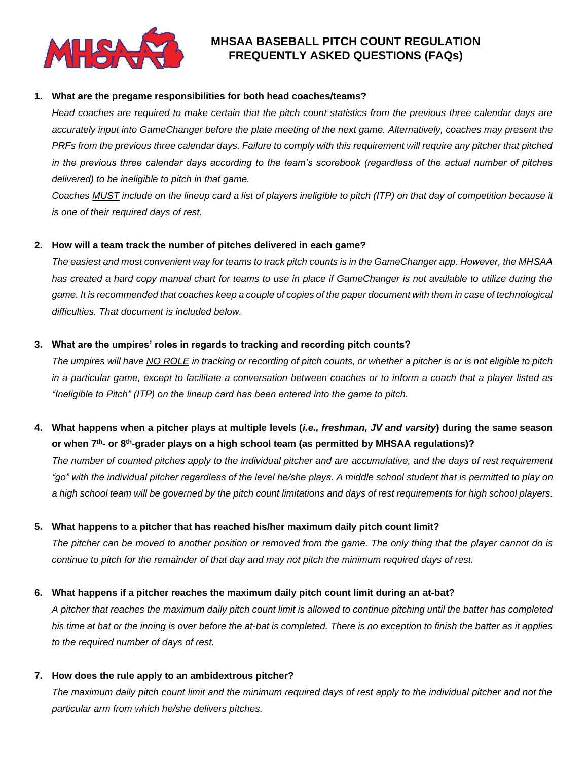

# **MHSAA BASEBALL PITCH COUNT REGULATION FREQUENTLY ASKED QUESTIONS (FAQs)**

### **1. What are the pregame responsibilities for both head coaches/teams?**

*Head coaches are required to make certain that the pitch count statistics from the previous three calendar days are accurately input into GameChanger before the plate meeting of the next game. Alternatively, coaches may present the PRFs from the previous three calendar days. Failure to comply with this requirement will require any pitcher that pitched in the previous three calendar days according to the team's scorebook (regardless of the actual number of pitches delivered) to be ineligible to pitch in that game.*

*Coaches MUST include on the lineup card a list of players ineligible to pitch (ITP) on that day of competition because it is one of their required days of rest.*

## **2. How will a team track the number of pitches delivered in each game?**

*The easiest and most convenient way for teams to track pitch counts is in the GameChanger app. However, the MHSAA*  has created a hard copy manual chart for teams to use in place if GameChanger is not available to utilize during the *game. It is recommended that coaches keep a couple of copies of the paper document with them in case of technological difficulties. That document is included below.*

### **3. What are the umpires' roles in regards to tracking and recording pitch counts?**

*The umpires will have NO ROLE in tracking or recording of pitch counts, or whether a pitcher is or is not eligible to pitch in a particular game, except to facilitate a conversation between coaches or to inform a coach that a player listed as "Ineligible to Pitch" (ITP) on the lineup card has been entered into the game to pitch.*

# **4. What happens when a pitcher plays at multiple levels (***i.e., freshman, JV and varsity***) during the same season or when 7 th - or 8th -grader plays on a high school team (as permitted by MHSAA regulations)?**

*The number of counted pitches apply to the individual pitcher and are accumulative, and the days of rest requirement "go" with the individual pitcher regardless of the level he/she plays. A middle school student that is permitted to play on a high school team will be governed by the pitch count limitations and days of rest requirements for high school players.*

## **5. What happens to a pitcher that has reached his/her maximum daily pitch count limit?**

*The pitcher can be moved to another position or removed from the game. The only thing that the player cannot do is continue to pitch for the remainder of that day and may not pitch the minimum required days of rest.*

## **6. What happens if a pitcher reaches the maximum daily pitch count limit during an at-bat?**

*A pitcher that reaches the maximum daily pitch count limit is allowed to continue pitching until the batter has completed his time at bat or the inning is over before the at-bat is completed. There is no exception to finish the batter as it applies to the required number of days of rest.*

## **7. How does the rule apply to an ambidextrous pitcher?**

The maximum daily pitch count limit and the minimum required days of rest apply to the individual pitcher and not the *particular arm from which he/she delivers pitches.*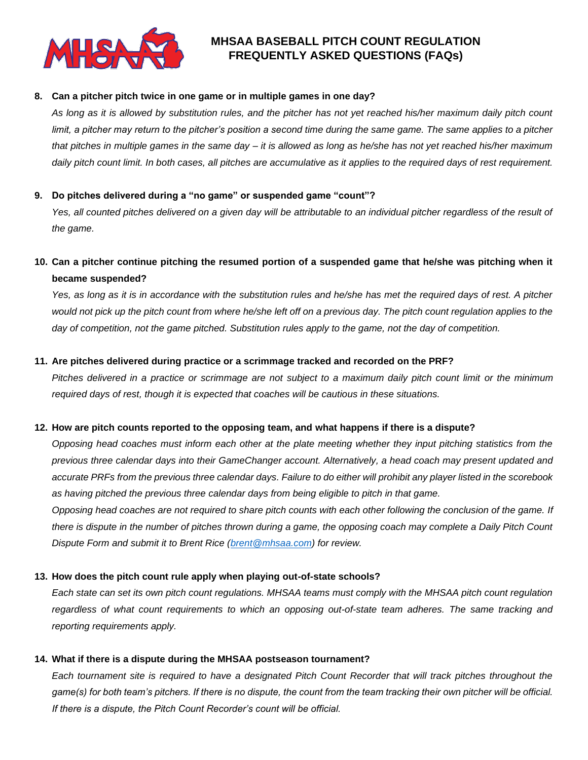

# **MHSAA BASEBALL PITCH COUNT REGULATION FREQUENTLY ASKED QUESTIONS (FAQs)**

### **8. Can a pitcher pitch twice in one game or in multiple games in one day?**

*As long as it is allowed by substitution rules, and the pitcher has not yet reached his/her maximum daily pitch count limit, a pitcher may return to the pitcher's position a second time during the same game. The same applies to a pitcher that pitches in multiple games in the same day – it is allowed as long as he/she has not yet reached his/her maximum daily pitch count limit. In both cases, all pitches are accumulative as it applies to the required days of rest requirement.*

### **9. Do pitches delivered during a "no game" or suspended game "count"?**

Yes, all counted pitches delivered on a given day will be attributable to an individual pitcher regardless of the result of *the game.*

## **10. Can a pitcher continue pitching the resumed portion of a suspended game that he/she was pitching when it became suspended?**

*Yes, as long as it is in accordance with the substitution rules and he/she has met the required days of rest. A pitcher would not pick up the pitch count from where he/she left off on a previous day. The pitch count regulation applies to the day of competition, not the game pitched. Substitution rules apply to the game, not the day of competition.*

### **11. Are pitches delivered during practice or a scrimmage tracked and recorded on the PRF?**

*Pitches delivered in a practice or scrimmage are not subject to a maximum daily pitch count limit or the minimum required days of rest, though it is expected that coaches will be cautious in these situations.*

### **12. How are pitch counts reported to the opposing team, and what happens if there is a dispute?**

*Opposing head coaches must inform each other at the plate meeting whether they input pitching statistics from the previous three calendar days into their GameChanger account. Alternatively, a head coach may present updated and accurate PRFs from the previous three calendar days. Failure to do either will prohibit any player listed in the scorebook as having pitched the previous three calendar days from being eligible to pitch in that game.*

*Opposing head coaches are not required to share pitch counts with each other following the conclusion of the game. If there is dispute in the number of pitches thrown during a game, the opposing coach may complete a Daily Pitch Count Dispute Form and submit it to Brent Rice [\(brent@mhsaa.com\)](mailto:brent@mhsaa.com) for review.*

## **13. How does the pitch count rule apply when playing out-of-state schools?**

*Each state can set its own pitch count regulations. MHSAA teams must comply with the MHSAA pitch count regulation regardless of what count requirements to which an opposing out-of-state team adheres. The same tracking and reporting requirements apply.*

### **14. What if there is a dispute during the MHSAA postseason tournament?**

*Each tournament site is required to have a designated Pitch Count Recorder that will track pitches throughout the game(s) for both team's pitchers. If there is no dispute, the count from the team tracking their own pitcher will be official. If there is a dispute, the Pitch Count Recorder's count will be official.*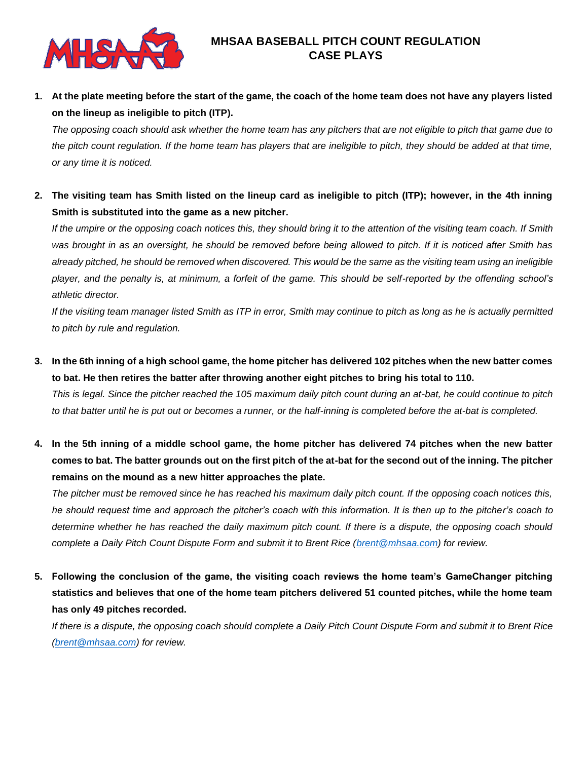

**1. At the plate meeting before the start of the game, the coach of the home team does not have any players listed on the lineup as ineligible to pitch (ITP).**

*The opposing coach should ask whether the home team has any pitchers that are not eligible to pitch that game due to*  the pitch count regulation. If the home team has players that are ineligible to pitch, they should be added at that time, *or any time it is noticed.*

**2. The visiting team has Smith listed on the lineup card as ineligible to pitch (ITP); however, in the 4th inning Smith is substituted into the game as a new pitcher.**

*If the umpire or the opposing coach notices this, they should bring it to the attention of the visiting team coach. If Smith*  was brought in as an oversight, he should be removed before being allowed to pitch. If it is noticed after Smith has *already pitched, he should be removed when discovered. This would be the same as the visiting team using an ineligible player, and the penalty is, at minimum, a forfeit of the game. This should be self-reported by the offending school's athletic director.*

*If the visiting team manager listed Smith as ITP in error, Smith may continue to pitch as long as he is actually permitted to pitch by rule and regulation.*

- **3. In the 6th inning of a high school game, the home pitcher has delivered 102 pitches when the new batter comes to bat. He then retires the batter after throwing another eight pitches to bring his total to 110.** *This is legal. Since the pitcher reached the 105 maximum daily pitch count during an at-bat, he could continue to pitch to that batter until he is put out or becomes a runner, or the half-inning is completed before the at-bat is completed.*
- **4. In the 5th inning of a middle school game, the home pitcher has delivered 74 pitches when the new batter comes to bat. The batter grounds out on the first pitch of the at-bat for the second out of the inning. The pitcher remains on the mound as a new hitter approaches the plate.**

*The pitcher must be removed since he has reached his maximum daily pitch count. If the opposing coach notices this, he should request time and approach the pitcher's coach with this information. It is then up to the pitcher's coach to determine whether he has reached the daily maximum pitch count. If there is a dispute, the opposing coach should complete a Daily Pitch Count Dispute Form and submit it to Brent Rice [\(brent@mhsaa.com\)](mailto:brent@mhsaa.com) for review.*

**5. Following the conclusion of the game, the visiting coach reviews the home team's GameChanger pitching statistics and believes that one of the home team pitchers delivered 51 counted pitches, while the home team has only 49 pitches recorded.**

*If there is a dispute, the opposing coach should complete a Daily Pitch Count Dispute Form and submit it to Brent Rice [\(brent@mhsaa.com\)](mailto:brent@mhsaa.com) for review.*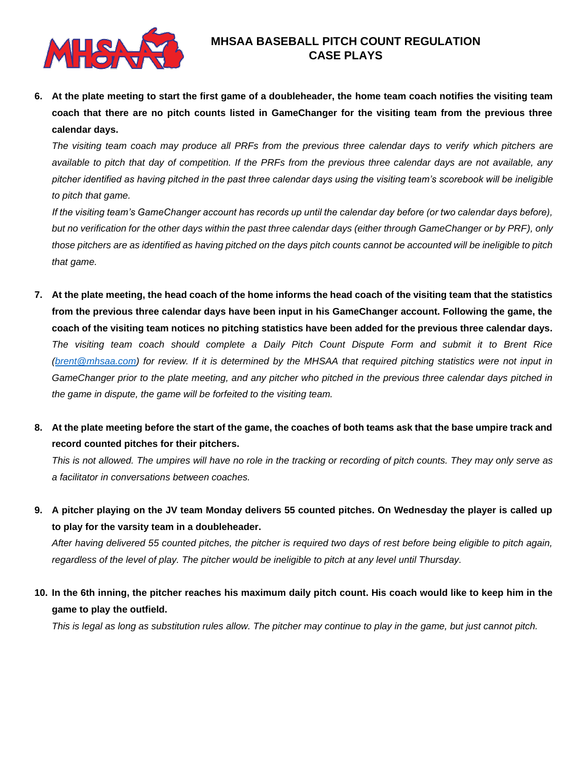

**6. At the plate meeting to start the first game of a doubleheader, the home team coach notifies the visiting team coach that there are no pitch counts listed in GameChanger for the visiting team from the previous three calendar days.**

*The visiting team coach may produce all PRFs from the previous three calendar days to verify which pitchers are available to pitch that day of competition. If the PRFs from the previous three calendar days are not available, any pitcher identified as having pitched in the past three calendar days using the visiting team's scorebook will be ineligible to pitch that game.*

*If the visiting team's GameChanger account has records up until the calendar day before (or two calendar days before), but no verification for the other days within the past three calendar days (either through GameChanger or by PRF), only those pitchers are as identified as having pitched on the days pitch counts cannot be accounted will be ineligible to pitch that game.*

- **7. At the plate meeting, the head coach of the home informs the head coach of the visiting team that the statistics from the previous three calendar days have been input in his GameChanger account. Following the game, the coach of the visiting team notices no pitching statistics have been added for the previous three calendar days.** *The visiting team coach should complete a Daily Pitch Count Dispute Form and submit it to Brent Rice [\(brent@mhsaa.com\)](mailto:brent@mhsaa.com) for review. If it is determined by the MHSAA that required pitching statistics were not input in GameChanger prior to the plate meeting, and any pitcher who pitched in the previous three calendar days pitched in the game in dispute, the game will be forfeited to the visiting team.*
- **8. At the plate meeting before the start of the game, the coaches of both teams ask that the base umpire track and record counted pitches for their pitchers.**

*This is not allowed. The umpires will have no role in the tracking or recording of pitch counts. They may only serve as a facilitator in conversations between coaches.*

**9. A pitcher playing on the JV team Monday delivers 55 counted pitches. On Wednesday the player is called up to play for the varsity team in a doubleheader.**

*After having delivered 55 counted pitches, the pitcher is required two days of rest before being eligible to pitch again, regardless of the level of play. The pitcher would be ineligible to pitch at any level until Thursday.*

**10. In the 6th inning, the pitcher reaches his maximum daily pitch count. His coach would like to keep him in the game to play the outfield.**

*This is legal as long as substitution rules allow. The pitcher may continue to play in the game, but just cannot pitch.*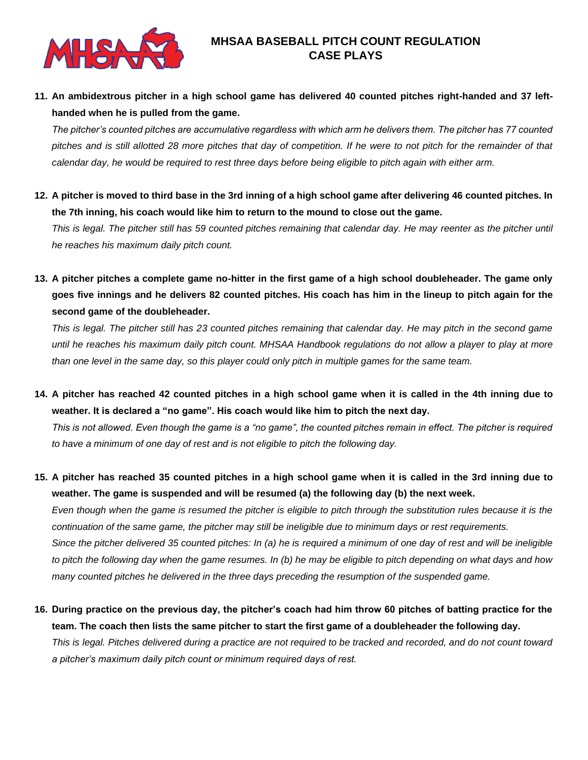

**11. An ambidextrous pitcher in a high school game has delivered 40 counted pitches right-handed and 37 lefthanded when he is pulled from the game.**

*The pitcher's counted pitches are accumulative regardless with which arm he delivers them. The pitcher has 77 counted pitches and is still allotted 28 more pitches that day of competition. If he were to not pitch for the remainder of that calendar day, he would be required to rest three days before being eligible to pitch again with either arm.*

**12. A pitcher is moved to third base in the 3rd inning of a high school game after delivering 46 counted pitches. In the 7th inning, his coach would like him to return to the mound to close out the game.**

*This is legal. The pitcher still has 59 counted pitches remaining that calendar day. He may reenter as the pitcher until he reaches his maximum daily pitch count.*

**13. A pitcher pitches a complete game no-hitter in the first game of a high school doubleheader. The game only goes five innings and he delivers 82 counted pitches. His coach has him in the lineup to pitch again for the second game of the doubleheader.**

*This is legal. The pitcher still has 23 counted pitches remaining that calendar day. He may pitch in the second game until he reaches his maximum daily pitch count. MHSAA Handbook regulations do not allow a player to play at more than one level in the same day, so this player could only pitch in multiple games for the same team.*

**14. A pitcher has reached 42 counted pitches in a high school game when it is called in the 4th inning due to weather. It is declared a "no game". His coach would like him to pitch the next day.**

*This is not allowed. Even though the game is a "no game", the counted pitches remain in effect. The pitcher is required to have a minimum of one day of rest and is not eligible to pitch the following day.*

**15. A pitcher has reached 35 counted pitches in a high school game when it is called in the 3rd inning due to weather. The game is suspended and will be resumed (a) the following day (b) the next week.**

*Even though when the game is resumed the pitcher is eligible to pitch through the substitution rules because it is the continuation of the same game, the pitcher may still be ineligible due to minimum days or rest requirements. Since the pitcher delivered 35 counted pitches: In (a) he is required a minimum of one day of rest and will be ineligible to pitch the following day when the game resumes. In (b) he may be eligible to pitch depending on what days and how many counted pitches he delivered in the three days preceding the resumption of the suspended game.*

**16. During practice on the previous day, the pitcher's coach had him throw 60 pitches of batting practice for the team. The coach then lists the same pitcher to start the first game of a doubleheader the following day.** *This is legal. Pitches delivered during a practice are not required to be tracked and recorded, and do not count toward a pitcher's maximum daily pitch count or minimum required days of rest.*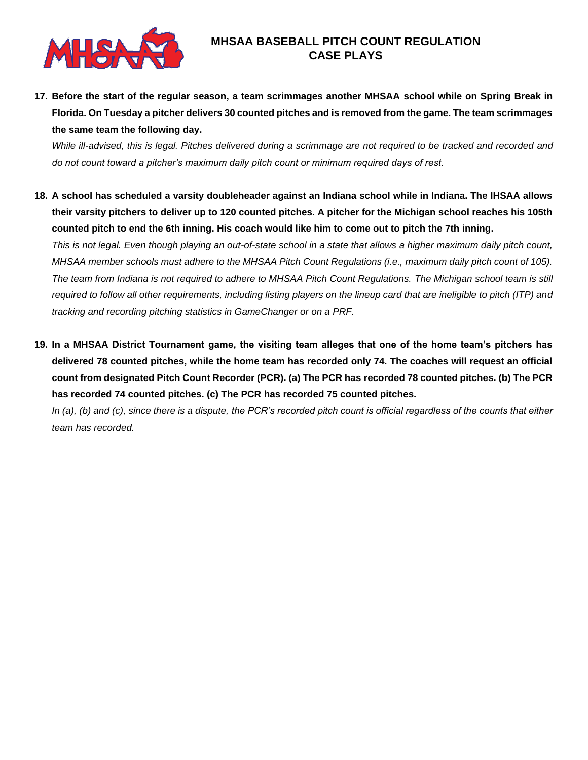

**17. Before the start of the regular season, a team scrimmages another MHSAA school while on Spring Break in Florida. On Tuesday a pitcher delivers 30 counted pitches and is removed from the game. The team scrimmages the same team the following day.**

*While ill-advised, this is legal. Pitches delivered during a scrimmage are not required to be tracked and recorded and do not count toward a pitcher's maximum daily pitch count or minimum required days of rest.*

**18. A school has scheduled a varsity doubleheader against an Indiana school while in Indiana. The IHSAA allows their varsity pitchers to deliver up to 120 counted pitches. A pitcher for the Michigan school reaches his 105th counted pitch to end the 6th inning. His coach would like him to come out to pitch the 7th inning.**

*This is not legal. Even though playing an out-of-state school in a state that allows a higher maximum daily pitch count, MHSAA member schools must adhere to the MHSAA Pitch Count Regulations (i.e., maximum daily pitch count of 105). The team from Indiana is not required to adhere to MHSAA Pitch Count Regulations. The Michigan school team is still required to follow all other requirements, including listing players on the lineup card that are ineligible to pitch (ITP) and tracking and recording pitching statistics in GameChanger or on a PRF.*

**19. In a MHSAA District Tournament game, the visiting team alleges that one of the home team's pitchers has delivered 78 counted pitches, while the home team has recorded only 74. The coaches will request an official count from designated Pitch Count Recorder (PCR). (a) The PCR has recorded 78 counted pitches. (b) The PCR has recorded 74 counted pitches. (c) The PCR has recorded 75 counted pitches.**

*In (a), (b) and (c), since there is a dispute, the PCR's recorded pitch count is official regardless of the counts that either team has recorded.*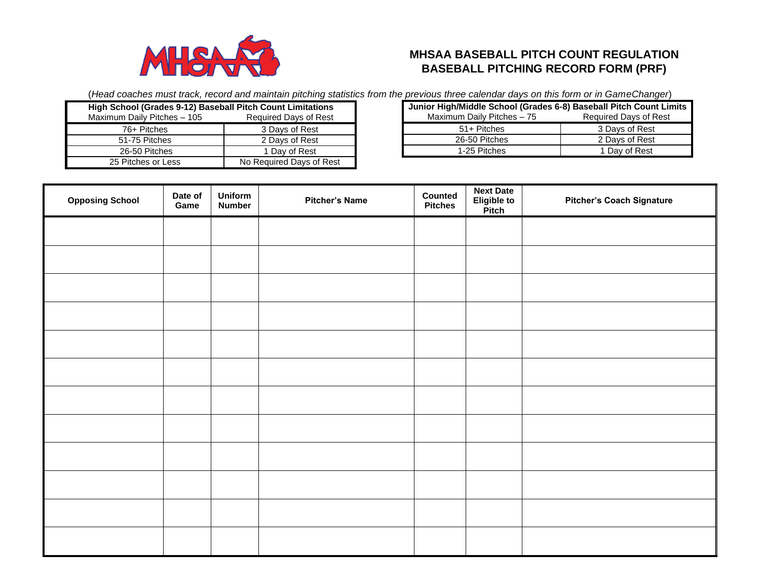

# **MHSAA BASEBALL PITCH COUNT REGULATION BASEBALL PITCHING RECORD FORM (PRF)**

(*Head coaches must track, record and maintain pitching statistics from the previous three calendar days on this form or in GameChanger*)

| High School (Grades 9-12) Baseball Pitch Count Limitations |                              |  |  |  |  |  |
|------------------------------------------------------------|------------------------------|--|--|--|--|--|
| Maximum Daily Pitches - 105                                | <b>Required Days of Rest</b> |  |  |  |  |  |
| 76+ Pitches                                                | 3 Days of Rest               |  |  |  |  |  |
| 51-75 Pitches                                              | 2 Days of Rest               |  |  |  |  |  |
| 26-50 Pitches                                              | 1 Day of Rest                |  |  |  |  |  |
| 25 Pitches or Less                                         | No Required Days of Rest     |  |  |  |  |  |

| Junior High/Middle School (Grades 6-8) Baseball Pitch Count Limits |                       |  |  |  |  |  |  |
|--------------------------------------------------------------------|-----------------------|--|--|--|--|--|--|
| Maximum Daily Pitches - 75                                         | Required Days of Rest |  |  |  |  |  |  |
| 51+ Pitches                                                        | 3 Days of Rest        |  |  |  |  |  |  |
| 26-50 Pitches                                                      | 2 Days of Rest        |  |  |  |  |  |  |
| 1-25 Pitches                                                       | 1 Day of Rest         |  |  |  |  |  |  |

| <b>Opposing School</b> | Date of<br>Game | Uniform<br><b>Number</b> | <b>Pitcher's Name</b> | Counted<br><b>Pitches</b> | <b>Next Date</b><br>Eligible to<br>Pitch | <b>Pitcher's Coach Signature</b> |
|------------------------|-----------------|--------------------------|-----------------------|---------------------------|------------------------------------------|----------------------------------|
|                        |                 |                          |                       |                           |                                          |                                  |
|                        |                 |                          |                       |                           |                                          |                                  |
|                        |                 |                          |                       |                           |                                          |                                  |
|                        |                 |                          |                       |                           |                                          |                                  |
|                        |                 |                          |                       |                           |                                          |                                  |
|                        |                 |                          |                       |                           |                                          |                                  |
|                        |                 |                          |                       |                           |                                          |                                  |
|                        |                 |                          |                       |                           |                                          |                                  |
|                        |                 |                          |                       |                           |                                          |                                  |
|                        |                 |                          |                       |                           |                                          |                                  |
|                        |                 |                          |                       |                           |                                          |                                  |
|                        |                 |                          |                       |                           |                                          |                                  |